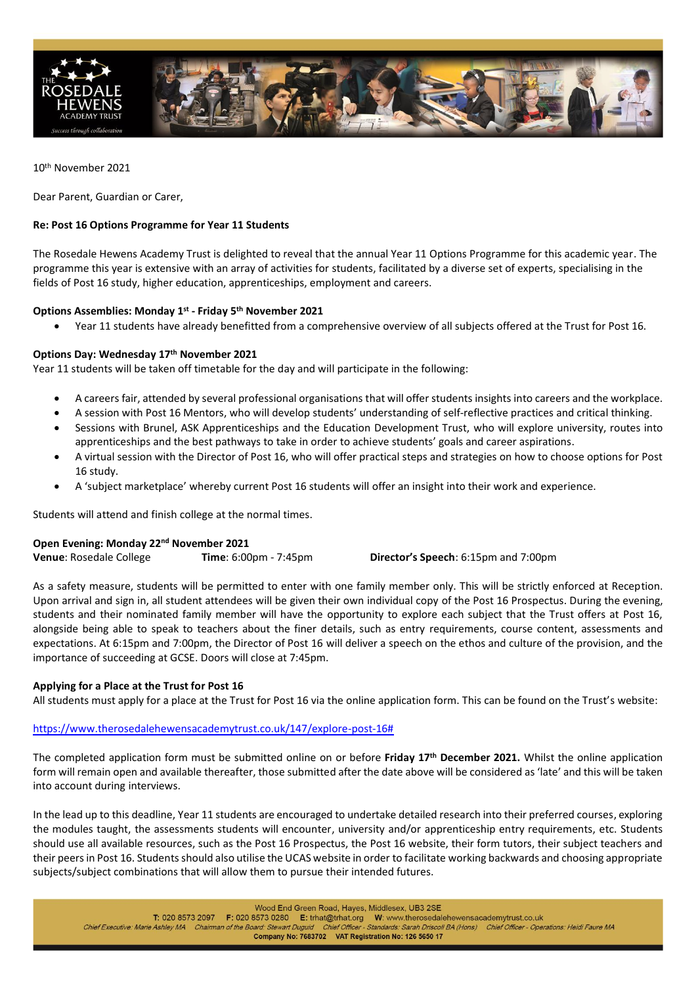

10th November 2021

Dear Parent, Guardian or Carer,

# **Re: Post 16 Options Programme for Year 11 Students**

The Rosedale Hewens Academy Trust is delighted to reveal that the annual Year 11 Options Programme for this academic year. The programme this year is extensive with an array of activities for students, facilitated by a diverse set of experts, specialising in the fields of Post 16 study, higher education, apprenticeships, employment and careers.

# **Options Assemblies: Monday 1st - Friday 5th November 2021**

• Year 11 students have already benefitted from a comprehensive overview of all subjects offered at the Trust for Post 16.

## **Options Day: Wednesday 17th November 2021**

Year 11 students will be taken off timetable for the day and will participate in the following:

- A careers fair, attended by several professional organisations that will offer students insights into careers and the workplace.
- A session with Post 16 Mentors, who will develop students' understanding of self-reflective practices and critical thinking.
- Sessions with Brunel, ASK Apprenticeships and the Education Development Trust, who will explore university, routes into apprenticeships and the best pathways to take in order to achieve students' goals and career aspirations.
- A virtual session with the Director of Post 16, who will offer practical steps and strategies on how to choose options for Post 16 study.
- A 'subject marketplace' whereby current Post 16 students will offer an insight into their work and experience.

Students will attend and finish college at the normal times.

## **Open Evening: Monday 22nd November 2021**

**Venue**: Rosedale College **Time**: 6:00pm - 7:45pm **Director's Speech**: 6:15pm and 7:00pm

As a safety measure, students will be permitted to enter with one family member only. This will be strictly enforced at Reception. Upon arrival and sign in, all student attendees will be given their own individual copy of the Post 16 Prospectus. During the evening, students and their nominated family member will have the opportunity to explore each subject that the Trust offers at Post 16, alongside being able to speak to teachers about the finer details, such as entry requirements, course content, assessments and expectations. At 6:15pm and 7:00pm, the Director of Post 16 will deliver a speech on the ethos and culture of the provision, and the importance of succeeding at GCSE. Doors will close at 7:45pm.

#### **Applying for a Place at the Trust for Post 16**

All students must apply for a place at the Trust for Post 16 via the online application form. This can be found on the Trust's website:

### [https://www.therosedalehewensacademytrust.co.uk/147/explore-post-16#](https://www.therosedalehewensacademytrust.co.uk/147/explore-post-16)

The completed application form must be submitted online on or before **Friday 17th December 2021.** Whilst the online application form will remain open and available thereafter, those submitted after the date above will be considered as 'late' and this will be taken into account during interviews.

In the lead up to this deadline, Year 11 students are encouraged to undertake detailed research into their preferred courses, exploring the modules taught, the assessments students will encounter, university and/or apprenticeship entry requirements, etc. Students should use all available resources, such as the Post 16 Prospectus, the Post 16 website, their form tutors, their subject teachers and their peers in Post 16. Students should also utilise the UCAS website in order to facilitate working backwards and choosing appropriate subjects/subject combinations that will allow them to pursue their intended futures.